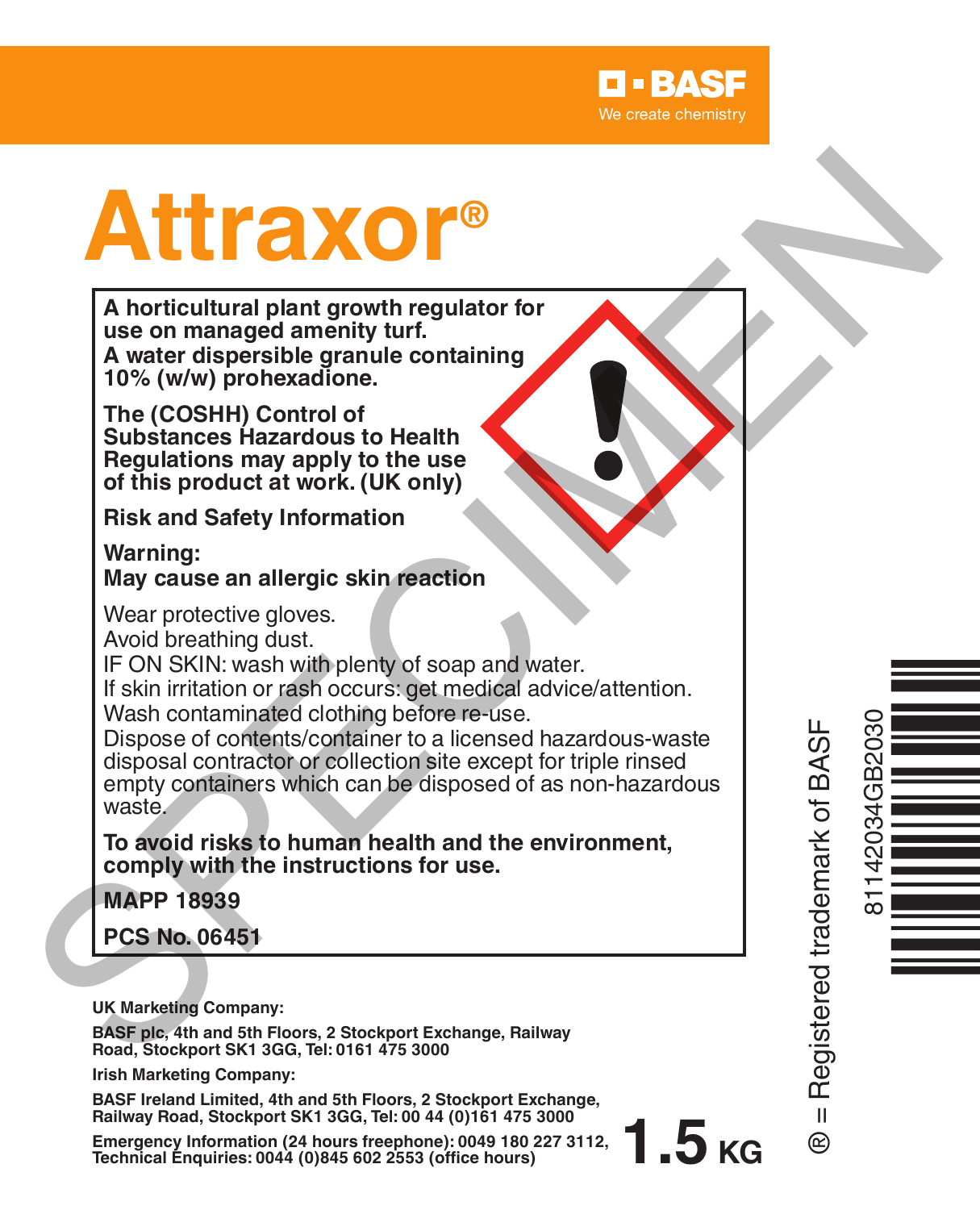

# **Attraxor®**

**A horticultural plant growth regulator for use on managed amenity turf. A water dispersible granule containing 10% (w/w) prohexadione.**

**The (COSHH) Control of Substances Hazardous to Health Regulations may apply to the use of this product at work. (UK only)**

**Risk and Safety Information**

**Warning: May cause an allergic skin reaction**

Wear protective gloves.

Avoid breathing dust.

IF ON SKIN: wash with plenty of soap and water.

If skin irritation or rash occurs: get medical advice/attention.

Wash contaminated clothing before re-use.

Dispose of contents/container to a licensed hazardous-waste disposal contractor or collection site except for triple rinsed empty containers which can be disposed of as non-hazardous waste. Morticultural plant growth regulator for<br>
A horticultural plant growth regulator for<br>
we on managed amenity turf.<br>
A water dispersible granule containing<br>
The (COSHH) Control of<br>
The (COSHH) Control of<br>
Substances Hazardou

**To avoid risks to human health and the environment, comply with the instructions for use.**

**MAPP 18939**

**PCS No. 06451**

**UK Marketing Company:**

**BASF plc, 4th and 5th Floors, 2 Stockport Exchange, Railway Road, Stockport SK1 3GG, Tel: 0161 475 3000**

**Irish Marketing Company:**

**BASF Ireland Limited, 4th and 5th Floors, 2 Stockport Exchange, Railway Road, Stockport SK1 3GG, Tel: 00 44 (0)161 475 3000**

**Emergency Information (24 hours freephone): 0049 <sup>180</sup> <sup>227</sup> 3112, Technical Enquiries: <sup>0044</sup> (0)845 <sup>602</sup> <sup>2553</sup> (office hours)**

® = Registered trademark of BASF  $\mathbf{u}$ ൙

81142034GB2030

Ò<br>Historia

**1.5 KG**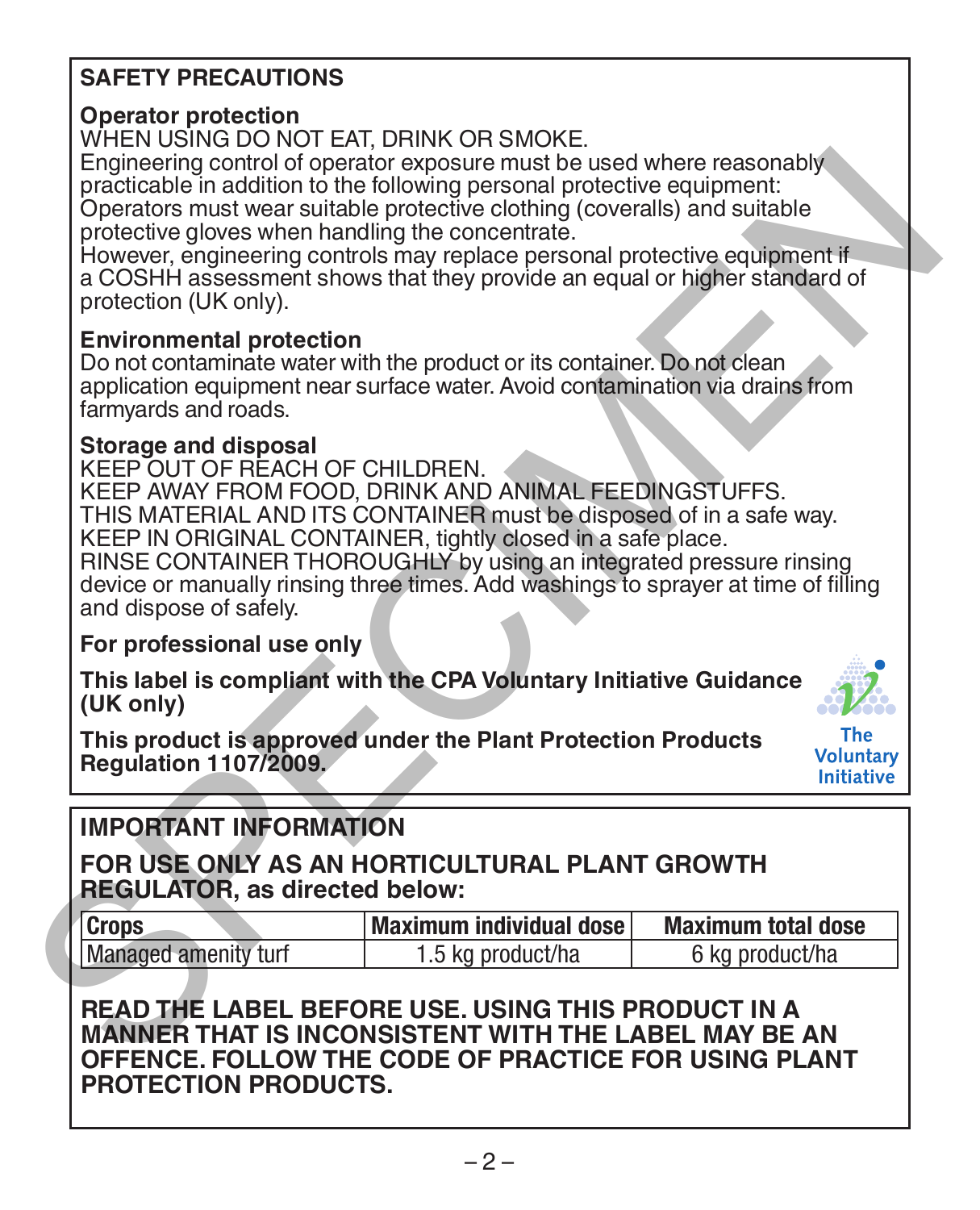## **SAFETY PRECAUTIONS**

## **Operator protection**

WHEN USING DO NOT EAT, DRINK OR SMOKE.

Engineering control of operator exposure must be used where reasonably practicable in addition to the following personal protective equipment: Operators must wear suitable protective clothing (coveralls) and suitable

protective gloves when handling the concentrate. However, engineering controls may replace personal protective equipment if a COSHH assessment shows that they provide an equal or higher standard of protection (UK only).

## **Environmental protection**

Do not contaminate water with the product or its container. Do not clean application equipment near surface water. Avoid contamination via drains from farmyards and roads.

## **Storage and disposal**

KEEP OUT OF REACH OF CHILDREN. KEEP AWAY FROM FOOD, DRINK AND ANIMAL FEEDINGSTUFFS. THIS MATERIAL AND ITS CONTAINER must be disposed of in a safe way. KEEP IN ORIGINAL CONTAINER, tightly closed in a safe place. RINSE CONTAINER THOROUGHLY by using an integrated pressure rinsing device or manually rinsing three times. Add washings to sprayer at time of filling and dispose of safely. Engineering control of operator appear must be used where reasonably<br>practicable in addition to the following personal protective equipment:<br>Operators must was suitable protective doting (coveralls) and suitable<br>protective

**For professional use only**

**This label is compliant with the CPA Voluntary Initiative Guidance (UK only)**



**This product is approved under the Plant Protection Products Regulation 1107/2009.**

# **IMPORTANT INFORMATION**

**FOR USE ONLY AS AN HORTICULTURAL PLANT GROWTH REGULATOR, as directed below:**

| <b>Crops</b>         | Maximum individual dose | <b>Maximum total dose</b> |
|----------------------|-------------------------|---------------------------|
| Managed amenity turf | 1.5 kg product/ha       | 6 kg product/ha           |

**READ THE LABEL BEFORE USE. USING THIS PRODUCT IN A MANNER THAT IS INCONSISTENT WITH THE LABEL MAY BE AN OFFENCE. FOLLOW THE CODE OF PRACTICE FOR USING PLANT PROTECTION PRODUCTS.**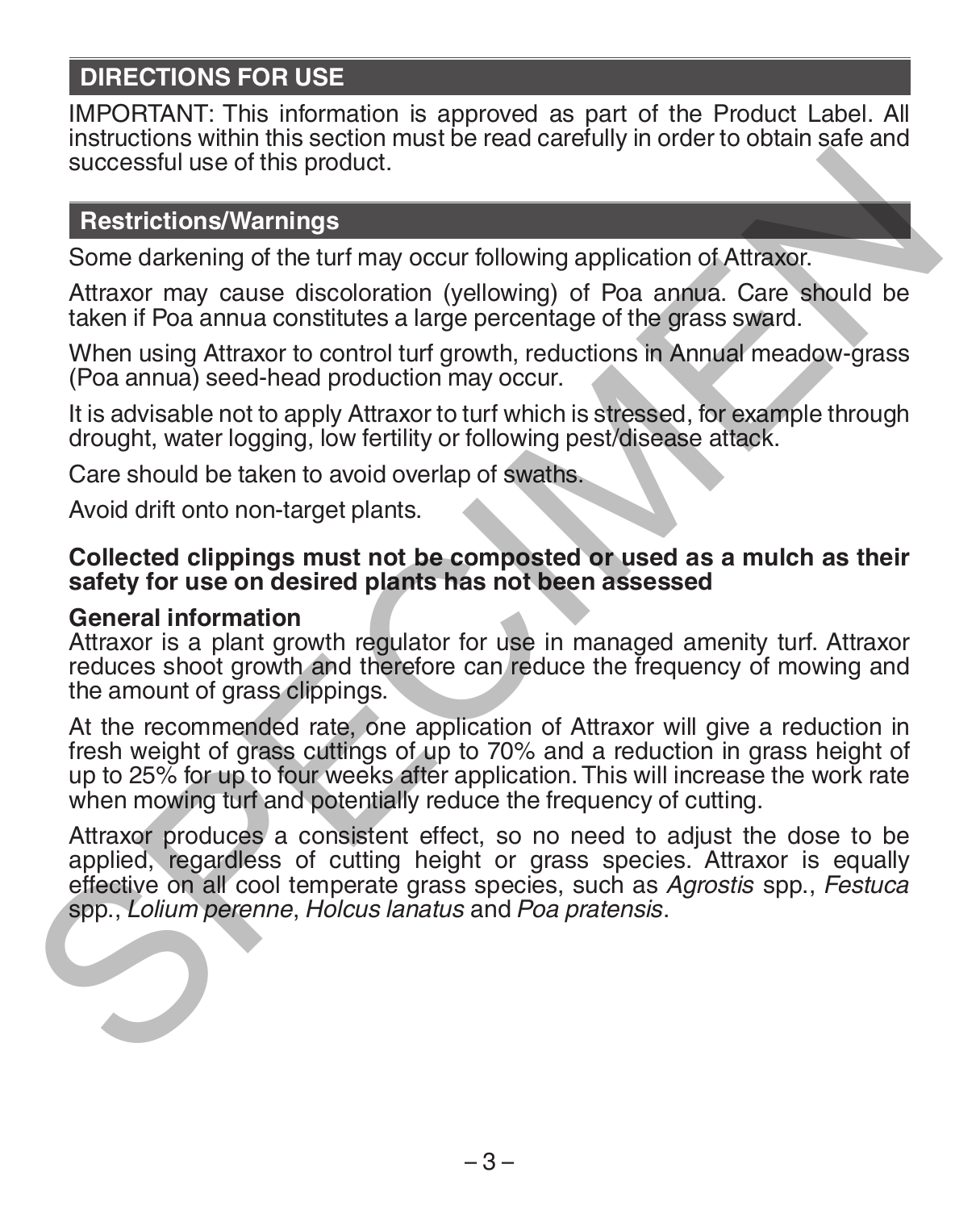## **DIRECTIONS FOR USE**

IMPORTANT: This information is approved as part of the Product Label. All instructions within this section must be read carefully in order to obtain safe and successful use of this product.

## **Restrictions/Warnings**

Some darkening of the turf may occur following application of Attraxor.

Attraxor may cause discoloration (yellowing) of Poa annua. Care should be taken if Poa annua constitutes a large percentage of the grass sward.

When using Attraxor to control turf growth, reductions in Annual meadow-grass (Poa annua) seed-head production may occur.

It is advisable not to apply Attraxor to turf which is stressed, for example through drought, water logging, low fertility or following pest/disease attack.

Care should be taken to avoid overlap of swaths.

Avoid drift onto non-target plants.

#### **Collected clippings must not be composted or used as a mulch as their safety for use on desired plants has not been assessed**

#### **General information**

Attraxor is a plant growth regulator for use in managed amenity turf. Attraxor reduces shoot growth and therefore can reduce the frequency of mowing and the amount of grass clippings.

At the recommended rate, one application of Attraxor will give a reduction in fresh weight of grass cuttings of up to 70% and a reduction in grass height of up to 25% for up to four weeks after application. This will increase the work rate when mowing turf and potentially reduce the frequency of cutting.

Attraxor produces a consistent effect, so no need to adjust the dose to be applied, regardless of cutting height or grass species. Attraxor is equally effective on all cool temperate grass species, such as *Agrostis* spp., *Festuca*  spp., *Lolium perenne*, *Holcus lanatus* and *Poa pratensis*. successful use of this product.<br> **Restrictions/Warnings**<br>
Some darkening of the turf may occur following application of Attraxor.<br>
Attraxor may cause discoloration (yellowing) of Poa annua. Care should be<br>
faken if Poa ann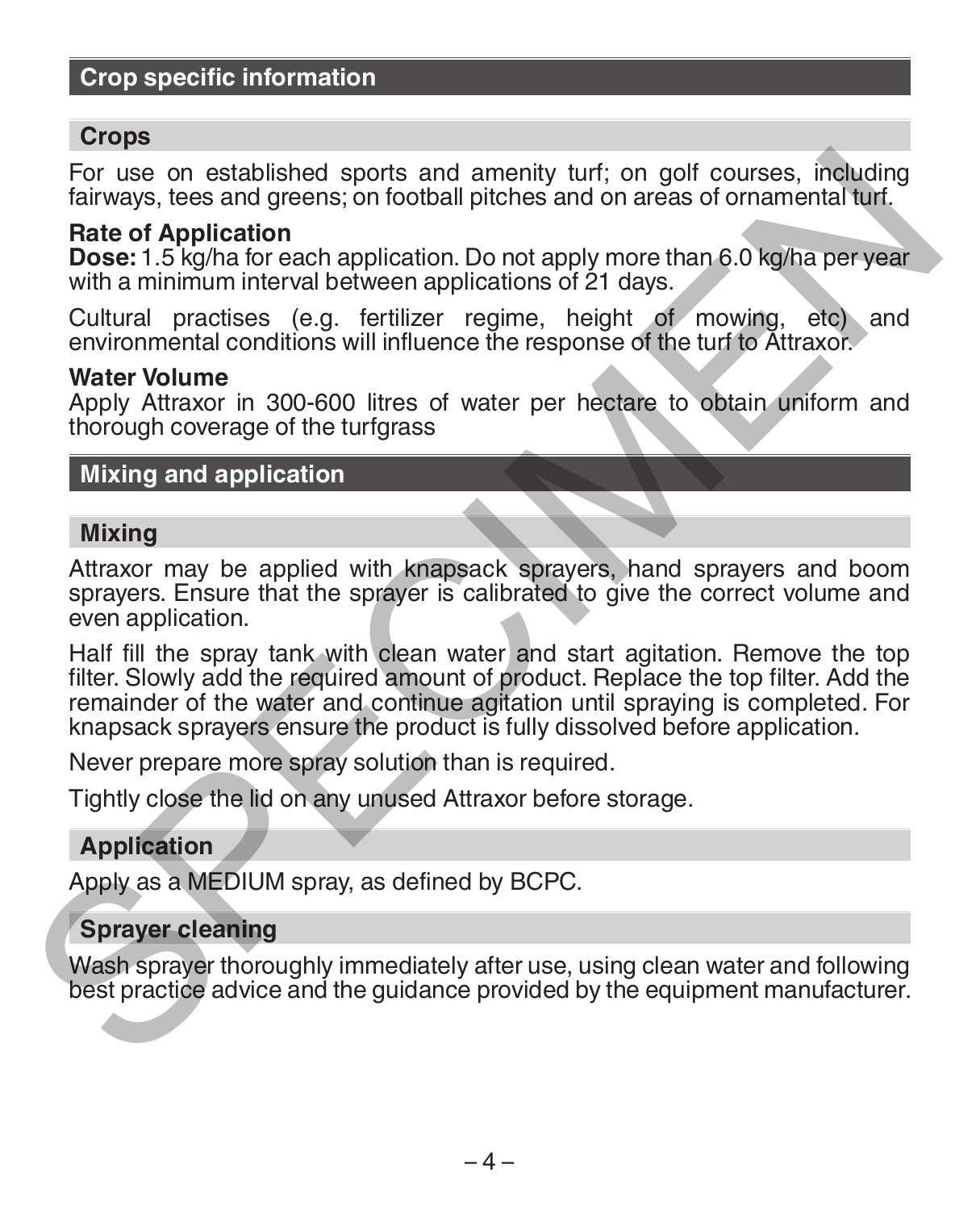## **Crop specific information**

#### **Crops**

For use on established sports and amenity turf; on golf courses, including fairways, tees and greens; on football pitches and on areas of ornamental turf.

#### **Rate of Application**

**Dose:** 1.5 kg/ha for each application. Do not apply more than 6.0 kg/ha per year with a minimum interval between applications of 21 days.

Cultural practises (e.g. fertilizer regime, height of mowing, etc) and environmental conditions will influence the response of the turf to Attraxor.

#### **Water Volume**

Apply Attraxor in 300-600 litres of water per hectare to obtain uniform and thorough coverage of the turfgrass

## **Mixing and application**

#### **Mixing**

Attraxor may be applied with knapsack sprayers, hand sprayers and boom sprayers. Ensure that the sprayer is calibrated to give the correct volume and even application.

Half fill the spray tank with clean water and start agitation. Remove the top filter. Slowly add the required amount of product. Replace the top filter. Add the remainder of the water and continue agitation until spraying is completed. For knapsack sprayers ensure the product is fully dissolved before application. For use on established sports and amenity turf; on golf courses, including<br>failways, tees and greens; on tootball pitches and on areas of ornamental turf.<br>**Rate of Application**<br>**Dose:** 1.5 kg/ha for each application. Do no

Never prepare more spray solution than is required.

Tightly close the lid on any unused Attraxor before storage.

#### **Application**

Apply as a MEDIUM spray, as defined by BCPC.

#### **Sprayer cleaning**

Wash sprayer thoroughly immediately after use, using clean water and following best practice advice and the guidance provided by the equipment manufacturer.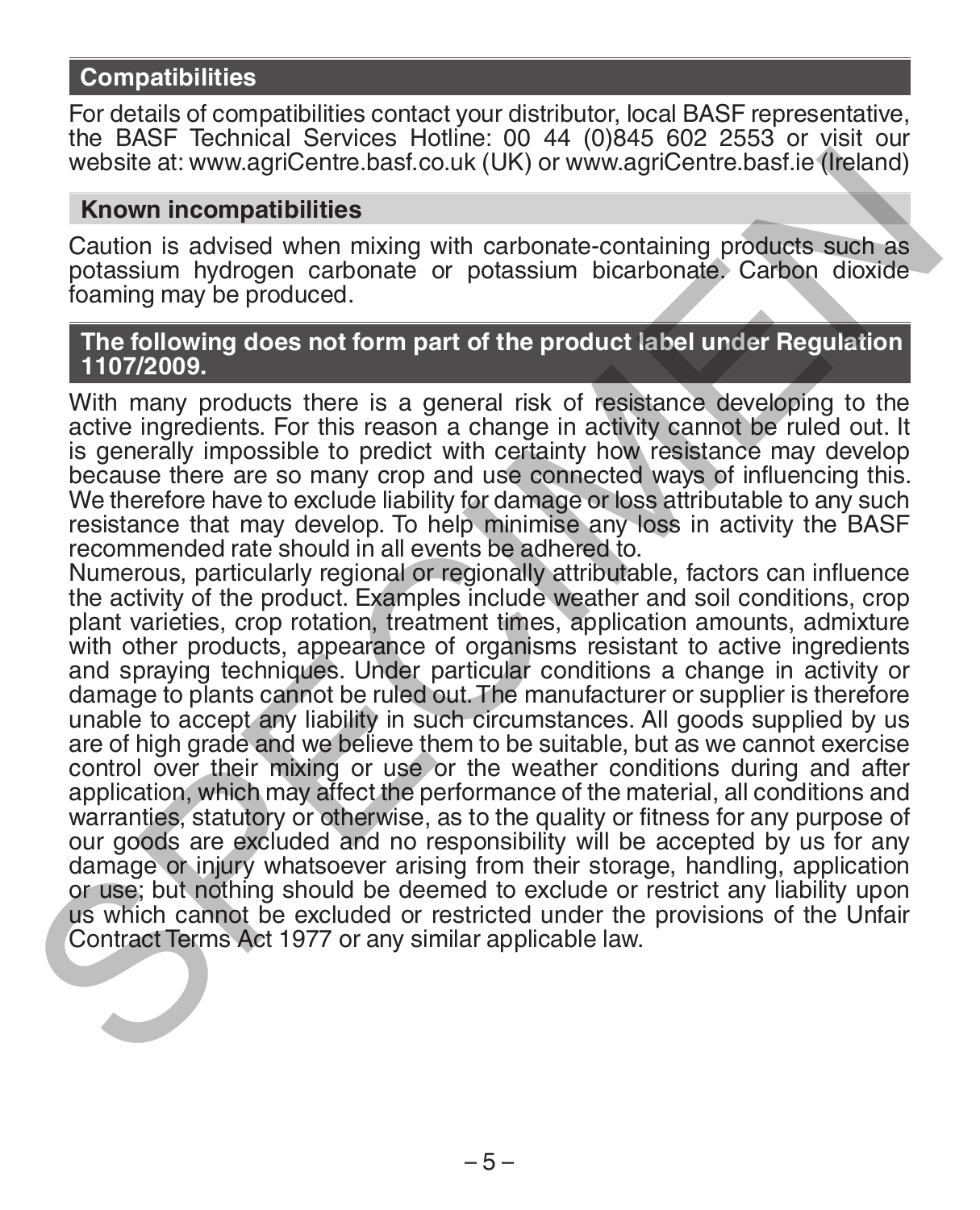## **Compatibilities**

For details of compatibilities contact your distributor, local BASF representative, the BASF Technical Services Hotline: 00 44 (0)845 602 2553 or visit our website at: www.agriCentre.basf.co.uk (UK) or www.agriCentre.basf.ie (Ireland)

#### **Known incompatibilities**

Caution is advised when mixing with carbonate-containing products such as potassium hydrogen carbonate or potassium bicarbonate. Carbon dioxide foaming may be produced.

#### **The following does not form part of the product label under Regulation 1107/2009.**

With many products there is a general risk of resistance developing to the active ingredients. For this reason a change in activity cannot be ruled out. It is generally impossible to predict with certainty how resistance may develop because there are so many crop and use connected ways of influencing this. We therefore have to exclude liability for damage or loss attributable to any such resistance that may develop. To help minimise any loss in activity the BASF recommended rate should in all events be adhered to.

Numerous, particularly regional or regionally attributable, factors can influence the activity of the product. Examples include weather and soil conditions, crop plant varieties, crop rotation, treatment times, application amounts, admixture with other products, appearance of organisms resistant to active ingredients and spraying techniques. Under particular conditions a change in activity or damage to plants cannot be ruled out. The manufacturer or supplier is therefore unable to accept any liability in such circumstances. All goods supplied by us are of high grade and we believe them to be suitable, but as we cannot exercise control over their mixing or use or the weather conditions during and after application, which may affect the performance of the material, all conditions and warranties, statutory or otherwise, as to the quality or fitness for any purpose of our goods are excluded and no responsibility will be accepted by us for any damage or injury whatsoever arising from their storage, handling, application or use; but nothing should be deemed to exclude or restrict any liability upon us which cannot be excluded or restricted under the provisions of the Unfair Contract Terms Act 1977 or any similar applicable law. website at: www.agriCentre.bast.co.uk (UK) or www.agriCentre.bast.ie (Ireland)<br>
Known incompatibilities<br>
Caution is avised when mixing with carbonate-containing products such as<br>
podassium hydrogen carbonate or potassium b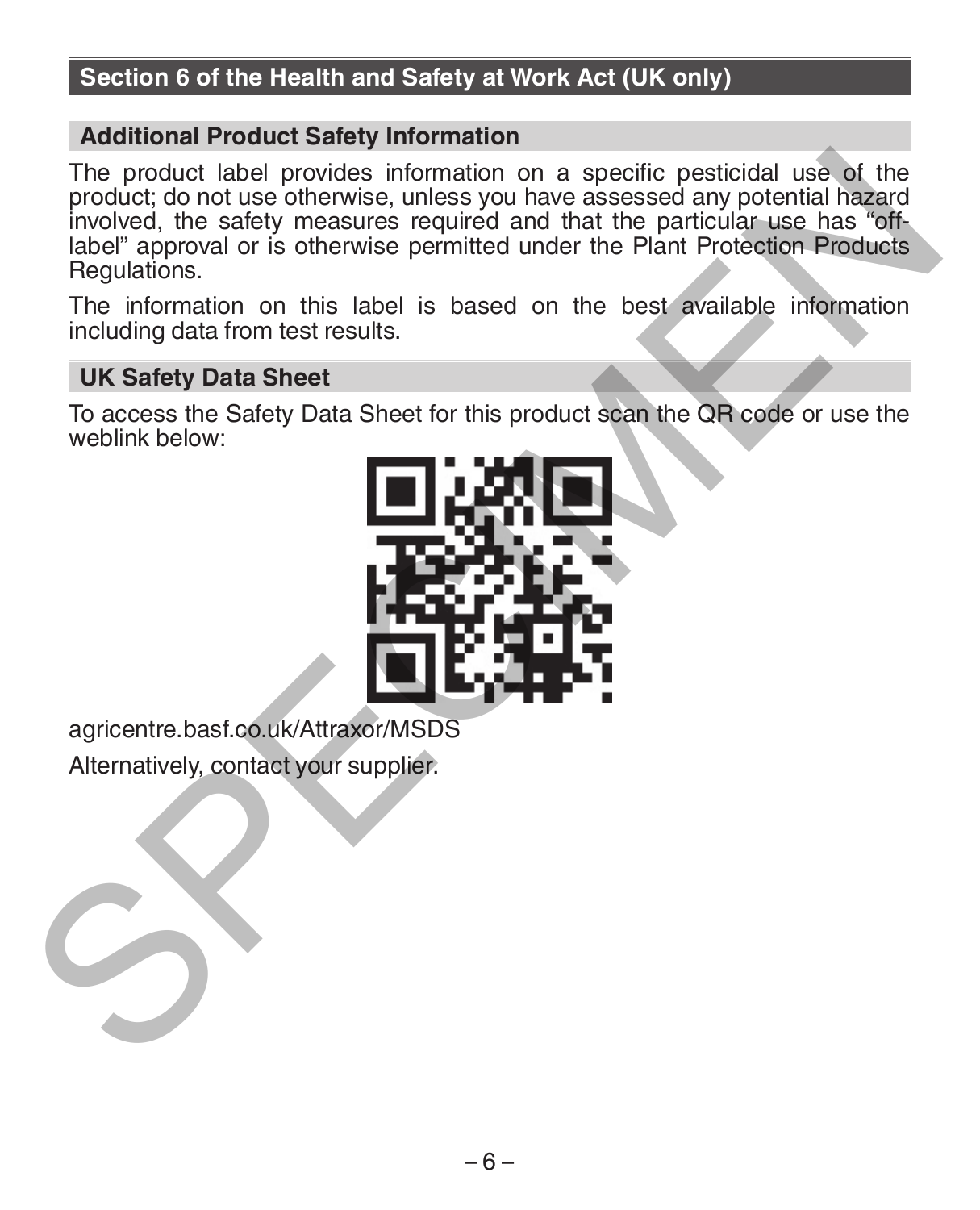## **Section 6 of the Health and Safety at Work Act (UK only)**

#### **Additional Product Safety Information**

The product label provides information on a specific pesticidal use of the product; do not use otherwise, unless you have assessed any potential hazard involved, the safety measures required and that the particular use has "offlabel" approval or is otherwise permitted under the Plant Protection Products **Regulations** The product label provides information on a specific pesticidal use of the product do not use offerwise, unless you have assessed any potential hazard model income in product as the particular use has off-<br>approximation is

The information on this label is based on the best available information including data from test results.

## **UK Safety Data Sheet**

To access the Safety Data Sheet for this product scan the QR code or use the weblink below:



agricentre.basf.co.uk/Attraxor/MSDS

Alternatively, contact your supplier.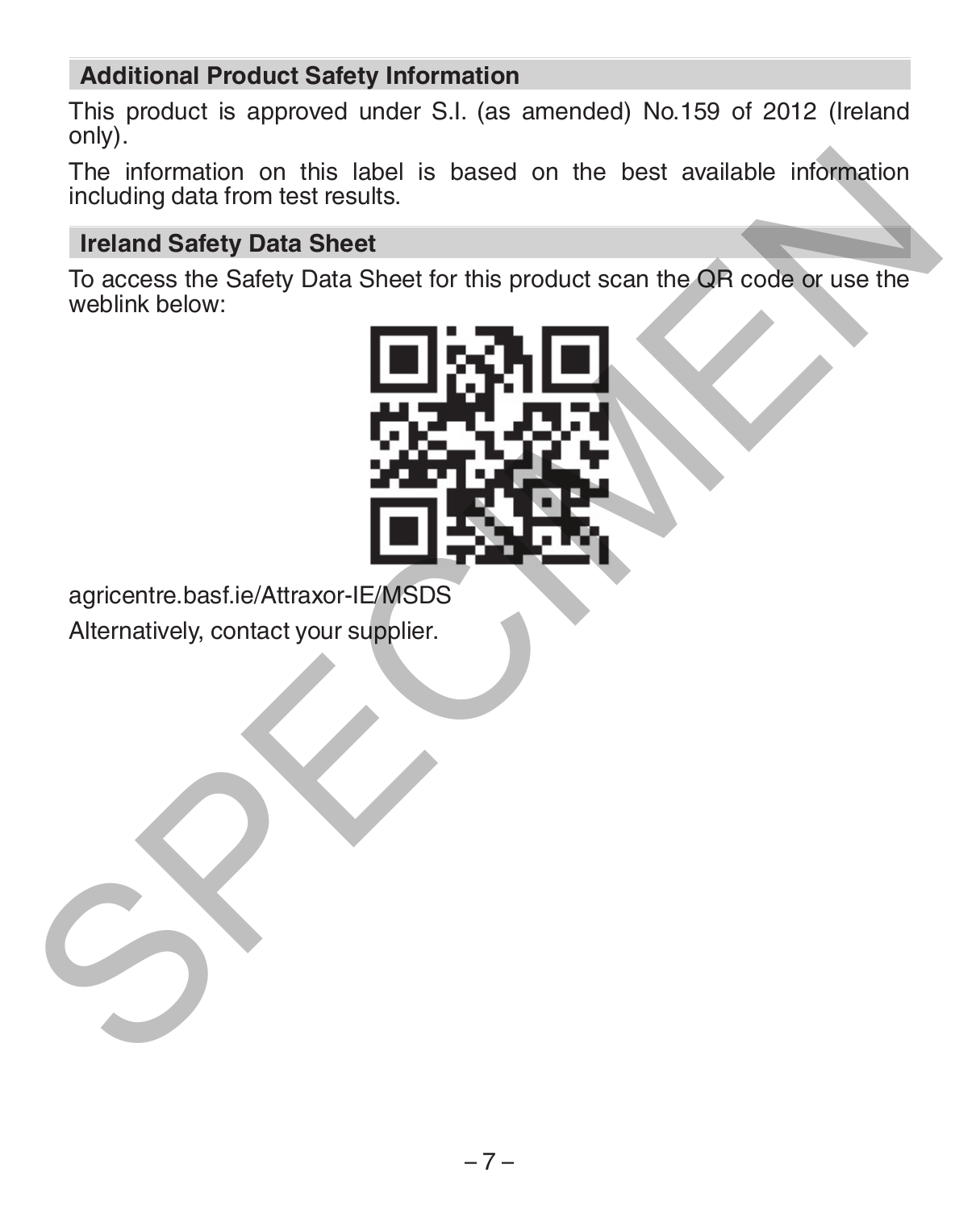## **Additional Product Safety Information**

This product is approved under S.I. (as amended) No.159 of 2012 (Ireland only).

The information on this label is based on the best available information including data from test results.

#### **Ireland Safety Data Sheet**

To access the Safety Data Sheet for this product scan the QR code or use the weblink below:



agricentre.basf.ie/Attraxor-IE/MSDS

Alternatively, contact your supplier.